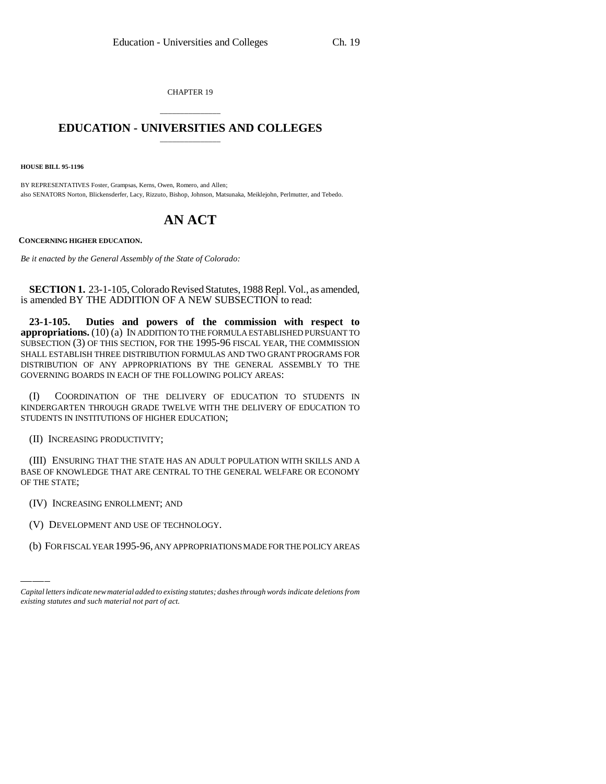CHAPTER 19

## \_\_\_\_\_\_\_\_\_\_\_\_\_\_\_ **EDUCATION - UNIVERSITIES AND COLLEGES** \_\_\_\_\_\_\_\_\_\_\_\_\_\_\_

**HOUSE BILL 95-1196**

BY REPRESENTATIVES Foster, Grampsas, Kerns, Owen, Romero, and Allen; also SENATORS Norton, Blickensderfer, Lacy, Rizzuto, Bishop, Johnson, Matsunaka, Meiklejohn, Perlmutter, and Tebedo.

## **AN ACT**

**CONCERNING HIGHER EDUCATION.**

*Be it enacted by the General Assembly of the State of Colorado:*

**SECTION 1.** 23-1-105, Colorado Revised Statutes, 1988 Repl. Vol., as amended, is amended BY THE ADDITION OF A NEW SUBSECTION to read:

**23-1-105. Duties and powers of the commission with respect to appropriations.** (10) (a) IN ADDITION TO THE FORMULA ESTABLISHED PURSUANT TO SUBSECTION (3) OF THIS SECTION, FOR THE 1995-96 FISCAL YEAR, THE COMMISSION SHALL ESTABLISH THREE DISTRIBUTION FORMULAS AND TWO GRANT PROGRAMS FOR DISTRIBUTION OF ANY APPROPRIATIONS BY THE GENERAL ASSEMBLY TO THE GOVERNING BOARDS IN EACH OF THE FOLLOWING POLICY AREAS:

(I) COORDINATION OF THE DELIVERY OF EDUCATION TO STUDENTS IN KINDERGARTEN THROUGH GRADE TWELVE WITH THE DELIVERY OF EDUCATION TO STUDENTS IN INSTITUTIONS OF HIGHER EDUCATION;

(II) INCREASING PRODUCTIVITY;

(III) ENSURING THAT THE STATE HAS AN ADULT POPULATION WITH SKILLS AND A BASE OF KNOWLEDGE THAT ARE CENTRAL TO THE GENERAL WELFARE OR ECONOMY OF THE STATE;

(IV) INCREASING ENROLLMENT; AND

(V) DEVELOPMENT AND USE OF TECHNOLOGY.

(b) FOR FISCAL YEAR 1995-96, ANY APPROPRIATIONS MADE FOR THE POLICY AREAS

*Capital letters indicate new material added to existing statutes; dashes through words indicate deletions from existing statutes and such material not part of act.*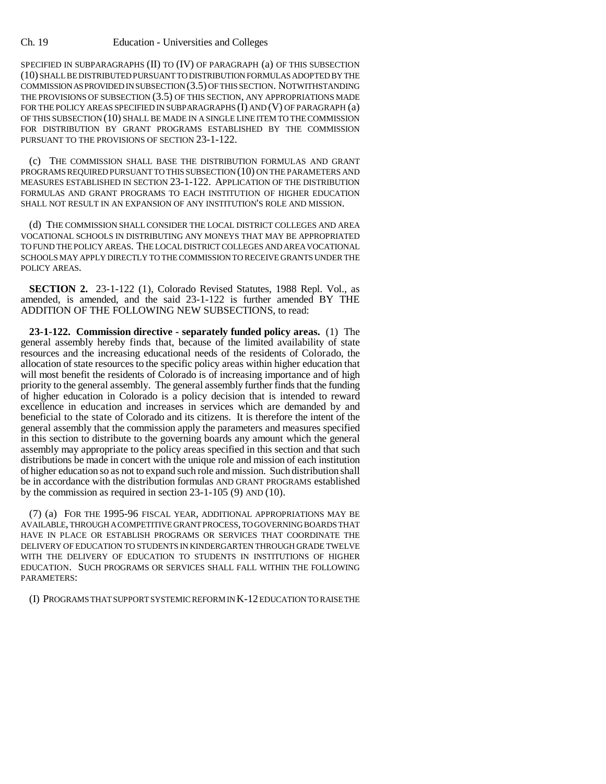## Ch. 19 Education - Universities and Colleges

SPECIFIED IN SUBPARAGRAPHS (II) TO (IV) OF PARAGRAPH (a) OF THIS SUBSECTION (10) SHALL BE DISTRIBUTED PURSUANT TO DISTRIBUTION FORMULAS ADOPTED BY THE COMMISSION AS PROVIDED IN SUBSECTION (3.5) OF THIS SECTION. NOTWITHSTANDING THE PROVISIONS OF SUBSECTION (3.5) OF THIS SECTION, ANY APPROPRIATIONS MADE FOR THE POLICY AREAS SPECIFIED IN SUBPARAGRAPHS (I) AND (V) OF PARAGRAPH (a) OF THIS SUBSECTION (10) SHALL BE MADE IN A SINGLE LINE ITEM TO THE COMMISSION FOR DISTRIBUTION BY GRANT PROGRAMS ESTABLISHED BY THE COMMISSION PURSUANT TO THE PROVISIONS OF SECTION 23-1-122.

(c) THE COMMISSION SHALL BASE THE DISTRIBUTION FORMULAS AND GRANT PROGRAMS REQUIRED PURSUANT TO THIS SUBSECTION (10) ON THE PARAMETERS AND MEASURES ESTABLISHED IN SECTION 23-1-122. APPLICATION OF THE DISTRIBUTION FORMULAS AND GRANT PROGRAMS TO EACH INSTITUTION OF HIGHER EDUCATION SHALL NOT RESULT IN AN EXPANSION OF ANY INSTITUTION'S ROLE AND MISSION.

(d) THE COMMISSION SHALL CONSIDER THE LOCAL DISTRICT COLLEGES AND AREA VOCATIONAL SCHOOLS IN DISTRIBUTING ANY MONEYS THAT MAY BE APPROPRIATED TO FUND THE POLICY AREAS. THE LOCAL DISTRICT COLLEGES AND AREA VOCATIONAL SCHOOLS MAY APPLY DIRECTLY TO THE COMMISSION TO RECEIVE GRANTS UNDER THE POLICY AREAS.

**SECTION 2.** 23-1-122 (1), Colorado Revised Statutes, 1988 Repl. Vol., as amended, is amended, and the said 23-1-122 is further amended BY THE ADDITION OF THE FOLLOWING NEW SUBSECTIONS, to read:

**23-1-122. Commission directive - separately funded policy areas.** (1) The general assembly hereby finds that, because of the limited availability of state resources and the increasing educational needs of the residents of Colorado, the allocation of state resources to the specific policy areas within higher education that will most benefit the residents of Colorado is of increasing importance and of high priority to the general assembly. The general assembly further finds that the funding of higher education in Colorado is a policy decision that is intended to reward excellence in education and increases in services which are demanded by and beneficial to the state of Colorado and its citizens. It is therefore the intent of the general assembly that the commission apply the parameters and measures specified in this section to distribute to the governing boards any amount which the general assembly may appropriate to the policy areas specified in this section and that such distributions be made in concert with the unique role and mission of each institution of higher education so as not to expand such role and mission. Such distribution shall be in accordance with the distribution formulas AND GRANT PROGRAMS established by the commission as required in section 23-1-105 (9) AND (10).

(7) (a) FOR THE 1995-96 FISCAL YEAR, ADDITIONAL APPROPRIATIONS MAY BE AVAILABLE, THROUGH A COMPETITIVE GRANT PROCESS, TO GOVERNING BOARDS THAT HAVE IN PLACE OR ESTABLISH PROGRAMS OR SERVICES THAT COORDINATE THE DELIVERY OF EDUCATION TO STUDENTS IN KINDERGARTEN THROUGH GRADE TWELVE WITH THE DELIVERY OF EDUCATION TO STUDENTS IN INSTITUTIONS OF HIGHER EDUCATION. SUCH PROGRAMS OR SERVICES SHALL FALL WITHIN THE FOLLOWING PARAMETERS:

(I) PROGRAMS THAT SUPPORT SYSTEMIC REFORM IN K-12 EDUCATION TO RAISE THE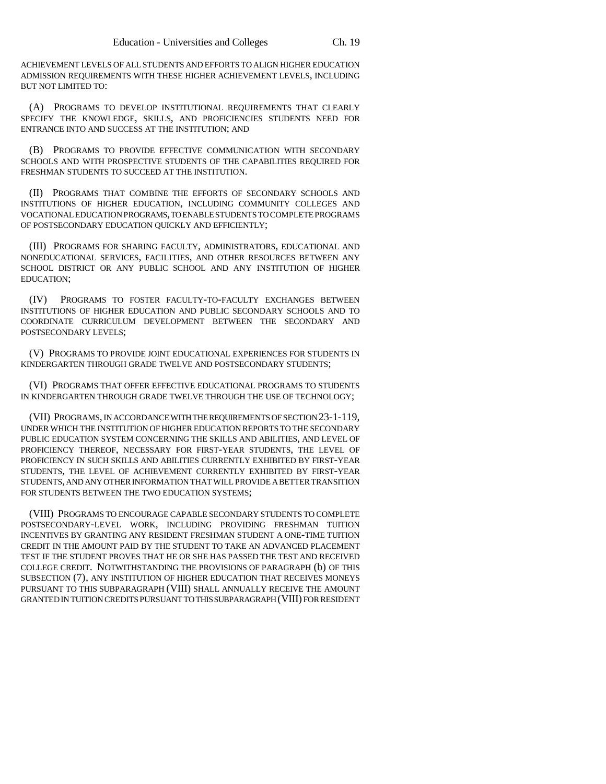ACHIEVEMENT LEVELS OF ALL STUDENTS AND EFFORTS TO ALIGN HIGHER EDUCATION ADMISSION REQUIREMENTS WITH THESE HIGHER ACHIEVEMENT LEVELS, INCLUDING BUT NOT LIMITED TO:

(A) PROGRAMS TO DEVELOP INSTITUTIONAL REQUIREMENTS THAT CLEARLY SPECIFY THE KNOWLEDGE, SKILLS, AND PROFICIENCIES STUDENTS NEED FOR ENTRANCE INTO AND SUCCESS AT THE INSTITUTION; AND

(B) PROGRAMS TO PROVIDE EFFECTIVE COMMUNICATION WITH SECONDARY SCHOOLS AND WITH PROSPECTIVE STUDENTS OF THE CAPABILITIES REQUIRED FOR FRESHMAN STUDENTS TO SUCCEED AT THE INSTITUTION.

(II) PROGRAMS THAT COMBINE THE EFFORTS OF SECONDARY SCHOOLS AND INSTITUTIONS OF HIGHER EDUCATION, INCLUDING COMMUNITY COLLEGES AND VOCATIONAL EDUCATION PROGRAMS, TO ENABLE STUDENTS TO COMPLETE PROGRAMS OF POSTSECONDARY EDUCATION QUICKLY AND EFFICIENTLY;

(III) PROGRAMS FOR SHARING FACULTY, ADMINISTRATORS, EDUCATIONAL AND NONEDUCATIONAL SERVICES, FACILITIES, AND OTHER RESOURCES BETWEEN ANY SCHOOL DISTRICT OR ANY PUBLIC SCHOOL AND ANY INSTITUTION OF HIGHER EDUCATION;

(IV) PROGRAMS TO FOSTER FACULTY-TO-FACULTY EXCHANGES BETWEEN INSTITUTIONS OF HIGHER EDUCATION AND PUBLIC SECONDARY SCHOOLS AND TO COORDINATE CURRICULUM DEVELOPMENT BETWEEN THE SECONDARY AND POSTSECONDARY LEVELS;

(V) PROGRAMS TO PROVIDE JOINT EDUCATIONAL EXPERIENCES FOR STUDENTS IN KINDERGARTEN THROUGH GRADE TWELVE AND POSTSECONDARY STUDENTS;

(VI) PROGRAMS THAT OFFER EFFECTIVE EDUCATIONAL PROGRAMS TO STUDENTS IN KINDERGARTEN THROUGH GRADE TWELVE THROUGH THE USE OF TECHNOLOGY;

(VII) PROGRAMS, IN ACCORDANCE WITH THE REQUIREMENTS OF SECTION 23-1-119, UNDER WHICH THE INSTITUTION OF HIGHER EDUCATION REPORTS TO THE SECONDARY PUBLIC EDUCATION SYSTEM CONCERNING THE SKILLS AND ABILITIES, AND LEVEL OF PROFICIENCY THEREOF, NECESSARY FOR FIRST-YEAR STUDENTS, THE LEVEL OF PROFICIENCY IN SUCH SKILLS AND ABILITIES CURRENTLY EXHIBITED BY FIRST-YEAR STUDENTS, THE LEVEL OF ACHIEVEMENT CURRENTLY EXHIBITED BY FIRST-YEAR STUDENTS, AND ANY OTHER INFORMATION THAT WILL PROVIDE A BETTER TRANSITION FOR STUDENTS BETWEEN THE TWO EDUCATION SYSTEMS;

(VIII) PROGRAMS TO ENCOURAGE CAPABLE SECONDARY STUDENTS TO COMPLETE POSTSECONDARY-LEVEL WORK, INCLUDING PROVIDING FRESHMAN TUITION INCENTIVES BY GRANTING ANY RESIDENT FRESHMAN STUDENT A ONE-TIME TUITION CREDIT IN THE AMOUNT PAID BY THE STUDENT TO TAKE AN ADVANCED PLACEMENT TEST IF THE STUDENT PROVES THAT HE OR SHE HAS PASSED THE TEST AND RECEIVED COLLEGE CREDIT. NOTWITHSTANDING THE PROVISIONS OF PARAGRAPH (b) OF THIS SUBSECTION (7), ANY INSTITUTION OF HIGHER EDUCATION THAT RECEIVES MONEYS PURSUANT TO THIS SUBPARAGRAPH (VIII) SHALL ANNUALLY RECEIVE THE AMOUNT GRANTED IN TUITION CREDITS PURSUANT TO THIS SUBPARAGRAPH (VIII) FOR RESIDENT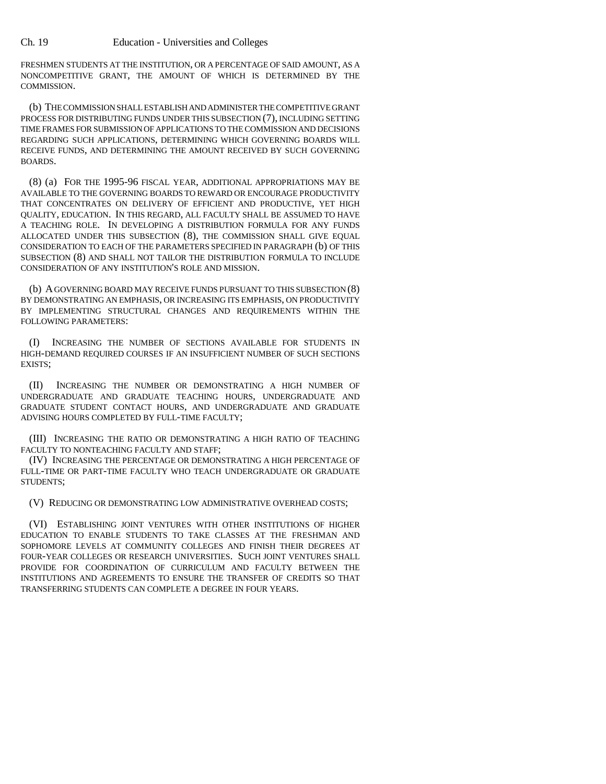FRESHMEN STUDENTS AT THE INSTITUTION, OR A PERCENTAGE OF SAID AMOUNT, AS A NONCOMPETITIVE GRANT, THE AMOUNT OF WHICH IS DETERMINED BY THE COMMISSION.

(b) THE COMMISSION SHALL ESTABLISH AND ADMINISTER THE COMPETITIVE GRANT PROCESS FOR DISTRIBUTING FUNDS UNDER THIS SUBSECTION (7), INCLUDING SETTING TIME FRAMES FOR SUBMISSION OF APPLICATIONS TO THE COMMISSION AND DECISIONS REGARDING SUCH APPLICATIONS, DETERMINING WHICH GOVERNING BOARDS WILL RECEIVE FUNDS, AND DETERMINING THE AMOUNT RECEIVED BY SUCH GOVERNING BOARDS.

(8) (a) FOR THE 1995-96 FISCAL YEAR, ADDITIONAL APPROPRIATIONS MAY BE AVAILABLE TO THE GOVERNING BOARDS TO REWARD OR ENCOURAGE PRODUCTIVITY THAT CONCENTRATES ON DELIVERY OF EFFICIENT AND PRODUCTIVE, YET HIGH QUALITY, EDUCATION. IN THIS REGARD, ALL FACULTY SHALL BE ASSUMED TO HAVE A TEACHING ROLE. IN DEVELOPING A DISTRIBUTION FORMULA FOR ANY FUNDS ALLOCATED UNDER THIS SUBSECTION (8), THE COMMISSION SHALL GIVE EQUAL CONSIDERATION TO EACH OF THE PARAMETERS SPECIFIED IN PARAGRAPH (b) OF THIS SUBSECTION (8) AND SHALL NOT TAILOR THE DISTRIBUTION FORMULA TO INCLUDE CONSIDERATION OF ANY INSTITUTION'S ROLE AND MISSION.

(b) A GOVERNING BOARD MAY RECEIVE FUNDS PURSUANT TO THIS SUBSECTION (8) BY DEMONSTRATING AN EMPHASIS, OR INCREASING ITS EMPHASIS, ON PRODUCTIVITY BY IMPLEMENTING STRUCTURAL CHANGES AND REQUIREMENTS WITHIN THE FOLLOWING PARAMETERS:

(I) INCREASING THE NUMBER OF SECTIONS AVAILABLE FOR STUDENTS IN HIGH-DEMAND REQUIRED COURSES IF AN INSUFFICIENT NUMBER OF SUCH SECTIONS EXISTS;

(II) INCREASING THE NUMBER OR DEMONSTRATING A HIGH NUMBER OF UNDERGRADUATE AND GRADUATE TEACHING HOURS, UNDERGRADUATE AND GRADUATE STUDENT CONTACT HOURS, AND UNDERGRADUATE AND GRADUATE ADVISING HOURS COMPLETED BY FULL-TIME FACULTY;

(III) INCREASING THE RATIO OR DEMONSTRATING A HIGH RATIO OF TEACHING FACULTY TO NONTEACHING FACULTY AND STAFF;

(IV) INCREASING THE PERCENTAGE OR DEMONSTRATING A HIGH PERCENTAGE OF FULL-TIME OR PART-TIME FACULTY WHO TEACH UNDERGRADUATE OR GRADUATE STUDENTS;

(V) REDUCING OR DEMONSTRATING LOW ADMINISTRATIVE OVERHEAD COSTS;

(VI) ESTABLISHING JOINT VENTURES WITH OTHER INSTITUTIONS OF HIGHER EDUCATION TO ENABLE STUDENTS TO TAKE CLASSES AT THE FRESHMAN AND SOPHOMORE LEVELS AT COMMUNITY COLLEGES AND FINISH THEIR DEGREES AT FOUR-YEAR COLLEGES OR RESEARCH UNIVERSITIES. SUCH JOINT VENTURES SHALL PROVIDE FOR COORDINATION OF CURRICULUM AND FACULTY BETWEEN THE INSTITUTIONS AND AGREEMENTS TO ENSURE THE TRANSFER OF CREDITS SO THAT TRANSFERRING STUDENTS CAN COMPLETE A DEGREE IN FOUR YEARS.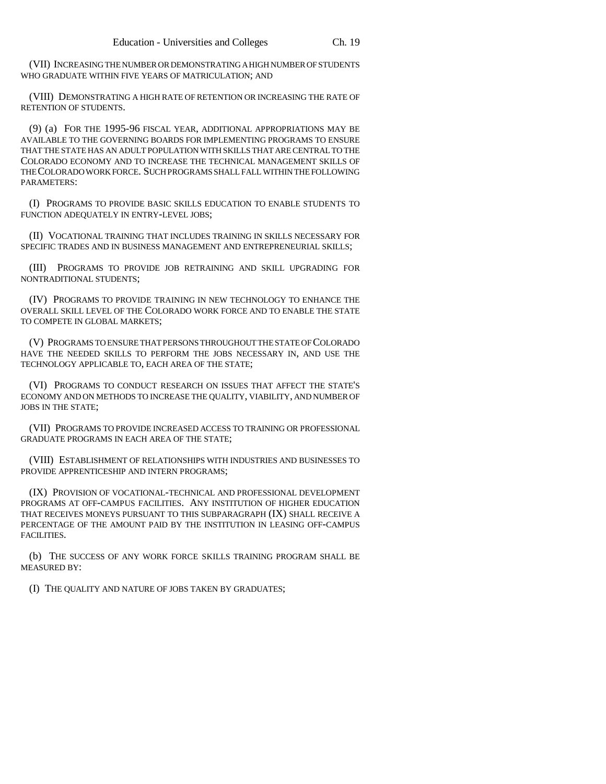(VII) INCREASING THE NUMBER OR DEMONSTRATING A HIGH NUMBER OF STUDENTS WHO GRADUATE WITHIN FIVE YEARS OF MATRICULATION; AND

(VIII) DEMONSTRATING A HIGH RATE OF RETENTION OR INCREASING THE RATE OF RETENTION OF STUDENTS.

(9) (a) FOR THE 1995-96 FISCAL YEAR, ADDITIONAL APPROPRIATIONS MAY BE AVAILABLE TO THE GOVERNING BOARDS FOR IMPLEMENTING PROGRAMS TO ENSURE THAT THE STATE HAS AN ADULT POPULATION WITH SKILLS THAT ARE CENTRAL TO THE COLORADO ECONOMY AND TO INCREASE THE TECHNICAL MANAGEMENT SKILLS OF THE COLORADO WORK FORCE. SUCH PROGRAMS SHALL FALL WITHIN THE FOLLOWING PARAMETERS:

(I) PROGRAMS TO PROVIDE BASIC SKILLS EDUCATION TO ENABLE STUDENTS TO FUNCTION ADEQUATELY IN ENTRY-LEVEL JOBS;

(II) VOCATIONAL TRAINING THAT INCLUDES TRAINING IN SKILLS NECESSARY FOR SPECIFIC TRADES AND IN BUSINESS MANAGEMENT AND ENTREPRENEURIAL SKILLS;

(III) PROGRAMS TO PROVIDE JOB RETRAINING AND SKILL UPGRADING FOR NONTRADITIONAL STUDENTS;

(IV) PROGRAMS TO PROVIDE TRAINING IN NEW TECHNOLOGY TO ENHANCE THE OVERALL SKILL LEVEL OF THE COLORADO WORK FORCE AND TO ENABLE THE STATE TO COMPETE IN GLOBAL MARKETS;

(V) PROGRAMS TO ENSURE THAT PERSONS THROUGHOUT THE STATE OF COLORADO HAVE THE NEEDED SKILLS TO PERFORM THE JOBS NECESSARY IN, AND USE THE TECHNOLOGY APPLICABLE TO, EACH AREA OF THE STATE;

(VI) PROGRAMS TO CONDUCT RESEARCH ON ISSUES THAT AFFECT THE STATE'S ECONOMY AND ON METHODS TO INCREASE THE QUALITY, VIABILITY, AND NUMBER OF JOBS IN THE STATE;

(VII) PROGRAMS TO PROVIDE INCREASED ACCESS TO TRAINING OR PROFESSIONAL GRADUATE PROGRAMS IN EACH AREA OF THE STATE;

(VIII) ESTABLISHMENT OF RELATIONSHIPS WITH INDUSTRIES AND BUSINESSES TO PROVIDE APPRENTICESHIP AND INTERN PROGRAMS;

(IX) PROVISION OF VOCATIONAL-TECHNICAL AND PROFESSIONAL DEVELOPMENT PROGRAMS AT OFF-CAMPUS FACILITIES. ANY INSTITUTION OF HIGHER EDUCATION THAT RECEIVES MONEYS PURSUANT TO THIS SUBPARAGRAPH (IX) SHALL RECEIVE A PERCENTAGE OF THE AMOUNT PAID BY THE INSTITUTION IN LEASING OFF-CAMPUS FACILITIES.

(b) THE SUCCESS OF ANY WORK FORCE SKILLS TRAINING PROGRAM SHALL BE MEASURED BY:

(I) THE QUALITY AND NATURE OF JOBS TAKEN BY GRADUATES;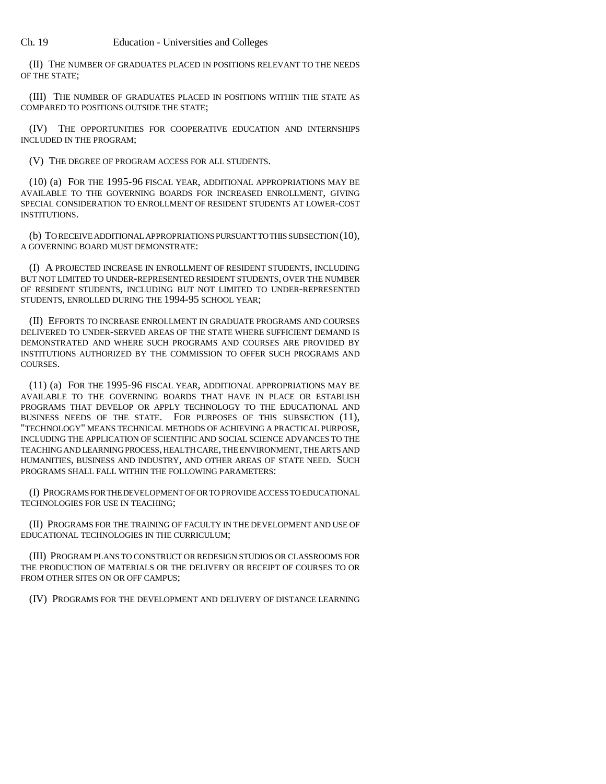(II) THE NUMBER OF GRADUATES PLACED IN POSITIONS RELEVANT TO THE NEEDS OF THE STATE;

(III) THE NUMBER OF GRADUATES PLACED IN POSITIONS WITHIN THE STATE AS COMPARED TO POSITIONS OUTSIDE THE STATE;

(IV) THE OPPORTUNITIES FOR COOPERATIVE EDUCATION AND INTERNSHIPS INCLUDED IN THE PROGRAM;

(V) THE DEGREE OF PROGRAM ACCESS FOR ALL STUDENTS.

(10) (a) FOR THE 1995-96 FISCAL YEAR, ADDITIONAL APPROPRIATIONS MAY BE AVAILABLE TO THE GOVERNING BOARDS FOR INCREASED ENROLLMENT, GIVING SPECIAL CONSIDERATION TO ENROLLMENT OF RESIDENT STUDENTS AT LOWER-COST INSTITUTIONS.

(b) TO RECEIVE ADDITIONAL APPROPRIATIONS PURSUANT TO THIS SUBSECTION (10), A GOVERNING BOARD MUST DEMONSTRATE:

(I) A PROJECTED INCREASE IN ENROLLMENT OF RESIDENT STUDENTS, INCLUDING BUT NOT LIMITED TO UNDER-REPRESENTED RESIDENT STUDENTS, OVER THE NUMBER OF RESIDENT STUDENTS, INCLUDING BUT NOT LIMITED TO UNDER-REPRESENTED STUDENTS, ENROLLED DURING THE 1994-95 SCHOOL YEAR;

(II) EFFORTS TO INCREASE ENROLLMENT IN GRADUATE PROGRAMS AND COURSES DELIVERED TO UNDER-SERVED AREAS OF THE STATE WHERE SUFFICIENT DEMAND IS DEMONSTRATED AND WHERE SUCH PROGRAMS AND COURSES ARE PROVIDED BY INSTITUTIONS AUTHORIZED BY THE COMMISSION TO OFFER SUCH PROGRAMS AND COURSES.

(11) (a) FOR THE 1995-96 FISCAL YEAR, ADDITIONAL APPROPRIATIONS MAY BE AVAILABLE TO THE GOVERNING BOARDS THAT HAVE IN PLACE OR ESTABLISH PROGRAMS THAT DEVELOP OR APPLY TECHNOLOGY TO THE EDUCATIONAL AND BUSINESS NEEDS OF THE STATE. FOR PURPOSES OF THIS SUBSECTION (11), "TECHNOLOGY" MEANS TECHNICAL METHODS OF ACHIEVING A PRACTICAL PURPOSE, INCLUDING THE APPLICATION OF SCIENTIFIC AND SOCIAL SCIENCE ADVANCES TO THE TEACHING AND LEARNING PROCESS, HEALTH CARE, THE ENVIRONMENT, THE ARTS AND HUMANITIES, BUSINESS AND INDUSTRY, AND OTHER AREAS OF STATE NEED. SUCH PROGRAMS SHALL FALL WITHIN THE FOLLOWING PARAMETERS:

(I) PROGRAMS FOR THE DEVELOPMENT OF OR TO PROVIDE ACCESS TO EDUCATIONAL TECHNOLOGIES FOR USE IN TEACHING;

(II) PROGRAMS FOR THE TRAINING OF FACULTY IN THE DEVELOPMENT AND USE OF EDUCATIONAL TECHNOLOGIES IN THE CURRICULUM;

(III) PROGRAM PLANS TO CONSTRUCT OR REDESIGN STUDIOS OR CLASSROOMS FOR THE PRODUCTION OF MATERIALS OR THE DELIVERY OR RECEIPT OF COURSES TO OR FROM OTHER SITES ON OR OFF CAMPUS;

(IV) PROGRAMS FOR THE DEVELOPMENT AND DELIVERY OF DISTANCE LEARNING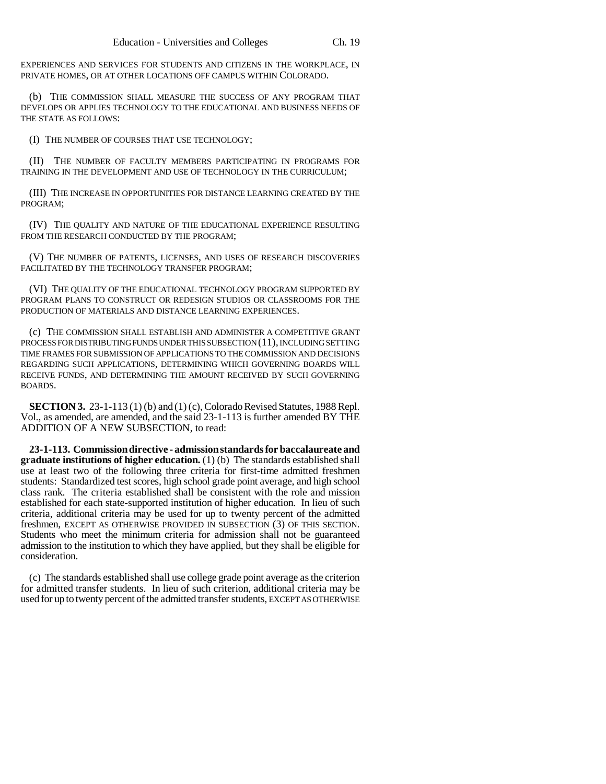EXPERIENCES AND SERVICES FOR STUDENTS AND CITIZENS IN THE WORKPLACE, IN PRIVATE HOMES, OR AT OTHER LOCATIONS OFF CAMPUS WITHIN COLORADO.

(b) THE COMMISSION SHALL MEASURE THE SUCCESS OF ANY PROGRAM THAT DEVELOPS OR APPLIES TECHNOLOGY TO THE EDUCATIONAL AND BUSINESS NEEDS OF THE STATE AS FOLLOWS:

(I) THE NUMBER OF COURSES THAT USE TECHNOLOGY;

(II) THE NUMBER OF FACULTY MEMBERS PARTICIPATING IN PROGRAMS FOR TRAINING IN THE DEVELOPMENT AND USE OF TECHNOLOGY IN THE CURRICULUM;

(III) THE INCREASE IN OPPORTUNITIES FOR DISTANCE LEARNING CREATED BY THE PROGRAM;

(IV) THE QUALITY AND NATURE OF THE EDUCATIONAL EXPERIENCE RESULTING FROM THE RESEARCH CONDUCTED BY THE PROGRAM:

(V) THE NUMBER OF PATENTS, LICENSES, AND USES OF RESEARCH DISCOVERIES FACILITATED BY THE TECHNOLOGY TRANSFER PROGRAM;

(VI) THE QUALITY OF THE EDUCATIONAL TECHNOLOGY PROGRAM SUPPORTED BY PROGRAM PLANS TO CONSTRUCT OR REDESIGN STUDIOS OR CLASSROOMS FOR THE PRODUCTION OF MATERIALS AND DISTANCE LEARNING EXPERIENCES.

(c) THE COMMISSION SHALL ESTABLISH AND ADMINISTER A COMPETITIVE GRANT PROCESS FOR DISTRIBUTING FUNDS UNDER THIS SUBSECTION (11), INCLUDING SETTING TIME FRAMES FOR SUBMISSION OF APPLICATIONS TO THE COMMISSION AND DECISIONS REGARDING SUCH APPLICATIONS, DETERMINING WHICH GOVERNING BOARDS WILL RECEIVE FUNDS, AND DETERMINING THE AMOUNT RECEIVED BY SUCH GOVERNING BOARDS.

**SECTION 3.** 23-1-113 (1) (b) and (1) (c), Colorado Revised Statutes, 1988 Repl. Vol., as amended, are amended, and the said 23-1-113 is further amended BY THE ADDITION OF A NEW SUBSECTION, to read:

**23-1-113. Commission directive - admission standards for baccalaureate and graduate institutions of higher education.** (1) (b) The standards established shall use at least two of the following three criteria for first-time admitted freshmen students: Standardized test scores, high school grade point average, and high school class rank. The criteria established shall be consistent with the role and mission established for each state-supported institution of higher education. In lieu of such criteria, additional criteria may be used for up to twenty percent of the admitted freshmen, EXCEPT AS OTHERWISE PROVIDED IN SUBSECTION (3) OF THIS SECTION. Students who meet the minimum criteria for admission shall not be guaranteed admission to the institution to which they have applied, but they shall be eligible for consideration.

(c) The standards established shall use college grade point average as the criterion for admitted transfer students. In lieu of such criterion, additional criteria may be used for up to twenty percent of the admitted transfer students, EXCEPT AS OTHERWISE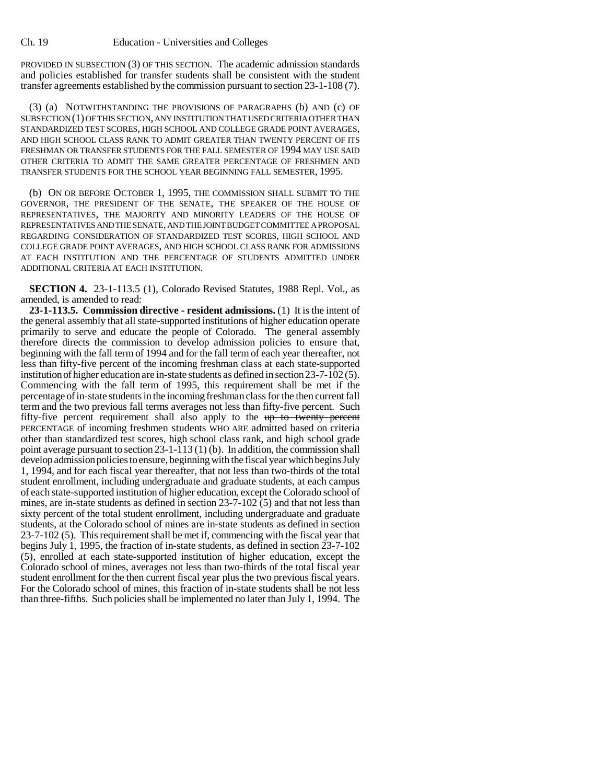PROVIDED IN SUBSECTION (3) OF THIS SECTION. The academic admission standards and policies established for transfer students shall be consistent with the student transfer agreements established by the commission pursuant to section 23-1-108 (7).

(3) (a) NOTWITHSTANDING THE PROVISIONS OF PARAGRAPHS (b) AND (c) OF SUBSECTION (1) OF THIS SECTION, ANY INSTITUTION THAT USED CRITERIA OTHER THAN STANDARDIZED TEST SCORES, HIGH SCHOOL AND COLLEGE GRADE POINT AVERAGES, AND HIGH SCHOOL CLASS RANK TO ADMIT GREATER THAN TWENTY PERCENT OF ITS FRESHMAN OR TRANSFER STUDENTS FOR THE FALL SEMESTER OF 1994 MAY USE SAID OTHER CRITERIA TO ADMIT THE SAME GREATER PERCENTAGE OF FRESHMEN AND TRANSFER STUDENTS FOR THE SCHOOL YEAR BEGINNING FALL SEMESTER, 1995.

(b) ON OR BEFORE OCTOBER 1, 1995, THE COMMISSION SHALL SUBMIT TO THE GOVERNOR, THE PRESIDENT OF THE SENATE, THE SPEAKER OF THE HOUSE OF REPRESENTATIVES, THE MAJORITY AND MINORITY LEADERS OF THE HOUSE OF REPRESENTATIVES AND THE SENATE, AND THE JOINT BUDGET COMMITTEE A PROPOSAL REGARDING CONSIDERATION OF STANDARDIZED TEST SCORES, HIGH SCHOOL AND COLLEGE GRADE POINT AVERAGES, AND HIGH SCHOOL CLASS RANK FOR ADMISSIONS AT EACH INSTITUTION AND THE PERCENTAGE OF STUDENTS ADMITTED UNDER ADDITIONAL CRITERIA AT EACH INSTITUTION.

**SECTION 4.** 23-1-113.5 (1), Colorado Revised Statutes, 1988 Repl. Vol., as amended, is amended to read:

**23-1-113.5. Commission directive - resident admissions.** (1) It is the intent of the general assembly that all state-supported institutions of higher education operate primarily to serve and educate the people of Colorado. The general assembly therefore directs the commission to develop admission policies to ensure that, beginning with the fall term of 1994 and for the fall term of each year thereafter, not less than fifty-five percent of the incoming freshman class at each state-supported institution of higher education are in-state students as defined in section 23-7-102 (5). Commencing with the fall term of 1995, this requirement shall be met if the percentage of in-state students in the incoming freshman class for the then current fall term and the two previous fall terms averages not less than fifty-five percent. Such fifty-five percent requirement shall also apply to the up to twenty percent PERCENTAGE of incoming freshmen students WHO ARE admitted based on criteria other than standardized test scores, high school class rank, and high school grade point average pursuant to section 23-1-113 (1) (b). In addition, the commission shall develop admission policies to ensure, beginning with the fiscal year which begins July 1, 1994, and for each fiscal year thereafter, that not less than two-thirds of the total student enrollment, including undergraduate and graduate students, at each campus of each state-supported institution of higher education, except the Colorado school of mines, are in-state students as defined in section 23-7-102 (5) and that not less than sixty percent of the total student enrollment, including undergraduate and graduate students, at the Colorado school of mines are in-state students as defined in section 23-7-102 (5). This requirement shall be met if, commencing with the fiscal year that begins July 1, 1995, the fraction of in-state students, as defined in section 23-7-102 (5), enrolled at each state-supported institution of higher education, except the Colorado school of mines, averages not less than two-thirds of the total fiscal year student enrollment for the then current fiscal year plus the two previous fiscal years. For the Colorado school of mines, this fraction of in-state students shall be not less than three-fifths. Such policies shall be implemented no later than July 1, 1994. The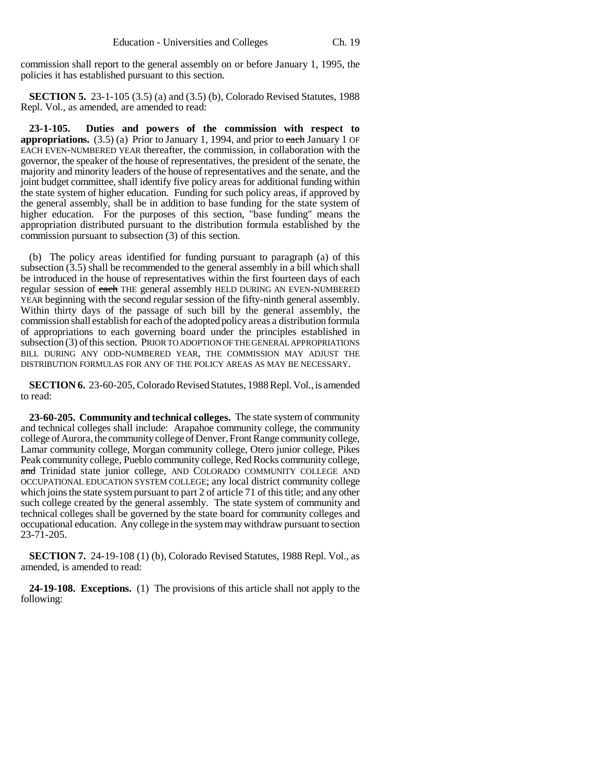commission shall report to the general assembly on or before January 1, 1995, the policies it has established pursuant to this section.

**SECTION 5.** 23-1-105 (3.5) (a) and (3.5) (b), Colorado Revised Statutes, 1988 Repl. Vol., as amended, are amended to read:

**23-1-105. Duties and powers of the commission with respect to appropriations.** (3.5) (a) Prior to January 1, 1994, and prior to each January 1 OF EACH EVEN-NUMBERED YEAR thereafter, the commission, in collaboration with the governor, the speaker of the house of representatives, the president of the senate, the majority and minority leaders of the house of representatives and the senate, and the joint budget committee, shall identify five policy areas for additional funding within the state system of higher education. Funding for such policy areas, if approved by the general assembly, shall be in addition to base funding for the state system of higher education. For the purposes of this section, "base funding" means the appropriation distributed pursuant to the distribution formula established by the commission pursuant to subsection (3) of this section.

(b) The policy areas identified for funding pursuant to paragraph (a) of this subsection (3.5) shall be recommended to the general assembly in a bill which shall be introduced in the house of representatives within the first fourteen days of each regular session of each THE general assembly HELD DURING AN EVEN-NUMBERED YEAR beginning with the second regular session of the fifty-ninth general assembly. Within thirty days of the passage of such bill by the general assembly, the commission shall establish for each of the adopted policy areas a distribution formula of appropriations to each governing board under the principles established in subsection (3) of this section. PRIOR TO ADOPTION OF THE GENERAL APPROPRIATIONS BILL DURING ANY ODD-NUMBERED YEAR, THE COMMISSION MAY ADJUST THE DISTRIBUTION FORMULAS FOR ANY OF THE POLICY AREAS AS MAY BE NECESSARY.

**SECTION 6.** 23-60-205, Colorado Revised Statutes, 1988 Repl. Vol., is amended to read:

**23-60-205. Community and technical colleges.** The state system of community and technical colleges shall include: Arapahoe community college, the community college of Aurora, the community college of Denver, Front Range community college, Lamar community college, Morgan community college, Otero junior college, Pikes Peak community college, Pueblo community college, Red Rocks community college, and Trinidad state junior college, AND COLORADO COMMUNITY COLLEGE AND OCCUPATIONAL EDUCATION SYSTEM COLLEGE; any local district community college which joins the state system pursuant to part 2 of article 71 of this title; and any other such college created by the general assembly. The state system of community and technical colleges shall be governed by the state board for community colleges and occupational education. Any college in the system may withdraw pursuant to section 23-71-205.

**SECTION 7.** 24-19-108 (1) (b), Colorado Revised Statutes, 1988 Repl. Vol., as amended, is amended to read:

**24-19-108. Exceptions.** (1) The provisions of this article shall not apply to the following: